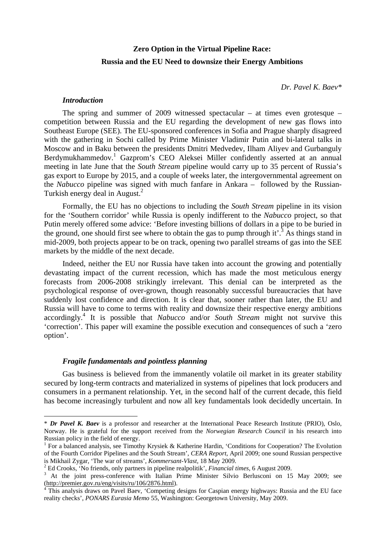# **Zero Option in the Virtual Pipeline Race: Russia and the EU Need to downsize their Energy Ambitions**

*Dr. Pavel K. Baev\** 

## *Introduction*

 $\overline{a}$ 

The spring and summer of 2009 witnessed spectacular – at times even grotesque – competition between Russia and the EU regarding the development of new gas flows into Southeast Europe (SEE). The EU-sponsored conferences in Sofia and Prague sharply disagreed with the gathering in Sochi called by Prime Minister Vladimir Putin and bi-lateral talks in Moscow and in Baku between the presidents Dmitri Medvedev, Ilham Aliyev and Gurbanguly Berdymukhammedov.<sup>1</sup> Gazprom's CEO Aleksei Miller confidently asserted at an annual meeting in late June that the *South Stream* pipeline would carry up to 35 percent of Russia's gas export to Europe by 2015, and a couple of weeks later, the intergovernmental agreement on the *Nabucco* pipeline was signed with much fanfare in Ankara – followed by the Russian-Turkish energy deal in August.2

Formally, the EU has no objections to including the *South Stream* pipeline in its vision for the 'Southern corridor' while Russia is openly indifferent to the *Nabucco* project, so that Putin merely offered some advice: 'Before investing billions of dollars in a pipe to be buried in the ground, one should first see where to obtain the gas to pump through it'.<sup>3</sup> As things stand in mid-2009, both projects appear to be on track, opening two parallel streams of gas into the SEE markets by the middle of the next decade.

Indeed, neither the EU nor Russia have taken into account the growing and potentially devastating impact of the current recession, which has made the most meticulous energy forecasts from 2006-2008 strikingly irrelevant. This denial can be interpreted as the psychological response of over-grown, though reasonably successful bureaucracies that have suddenly lost confidence and direction. It is clear that, sooner rather than later, the EU and Russia will have to come to terms with reality and downsize their respective energy ambitions accordingly.4 It is possible that *Nabucco* and/or *South Stream* might not survive this 'correction'. This paper will examine the possible execution and consequences of such a 'zero option'.

# *Fragile fundamentals and pointless planning*

Gas business is believed from the immanently volatile oil market in its greater stability secured by long-term contracts and materialized in systems of pipelines that lock producers and consumers in a permanent relationship. Yet, in the second half of the current decade, this field has become increasingly turbulent and now all key fundamentals look decidedly uncertain. In

<sup>\*</sup> *Dr Pavel K. Baev* is a professor and researcher at the International Peace Research Institute (PRIO), Oslo, Norway. He is grateful for the support received from the *Norwegian Research Council* in his research into Russian policy in the field of energy.

<sup>&</sup>lt;sup>1</sup> For a balanced analysis, see Timothy Krysiek & Katherine Hardin, 'Conditions for Cooperation? The Evolution of the Fourth Corridor Pipelines and the South Stream', *CERA Report*, April 2009; one sound Russian perspective is Mikhail Zygar, 'The war of streams', *Kommersant-Vlast*, 18 May 2009. 2

<sup>&</sup>lt;sup>2</sup> Ed Crooks, 'No friends, only partners in pipeline realpolitik', *Financial times*, 6 August 2009.

<sup>&</sup>lt;sup>3</sup> At the joint press-conference with Italian Prime Minister Silvio Berlusconi on 15 May 2009; see (http://premier.gov.ru/eng/visits/ru/106/2876.html). 4

<sup>&</sup>lt;sup>4</sup> This analysis draws on Pavel Baev, 'Competing designs for Caspian energy highways: Russia and the EU face reality checks', *PONARS Eurasia Memo* 55, Washington: Georgetown University, May 2009.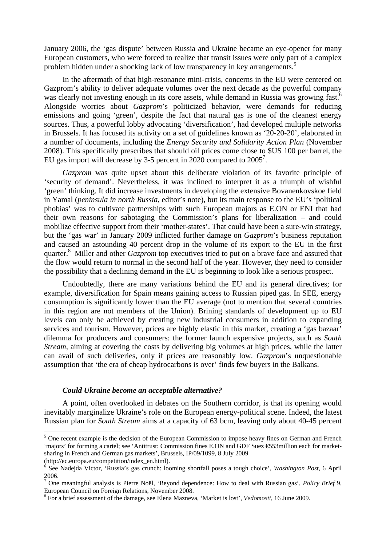January 2006, the 'gas dispute' between Russia and Ukraine became an eye-opener for many European customers, who were forced to realize that transit issues were only part of a complex problem hidden under a shocking lack of low transparency in key arrangements.<sup>5</sup>

In the aftermath of that high-resonance mini-crisis, concerns in the EU were centered on Gazprom's ability to deliver adequate volumes over the next decade as the powerful company was clearly not investing enough in its core assets, while demand in Russia was growing fast.<sup>6</sup> Alongside worries about *Gazprom*'s politicized behavior, were demands for reducing emissions and going 'green', despite the fact that natural gas is one of the cleanest energy sources. Thus, a powerful lobby advocating 'diversification', had developed multiple networks in Brussels. It has focused its activity on a set of guidelines known as '20-20-20', elaborated in a number of documents, including the *Energy Security and Solidarity Action Plan* (November 2008). This specifically prescribes that should oil prices come close to \$US 100 per barrel, the EU gas import will decrease by 3-5 percent in 2020 compared to  $2005^7$ .

*Gazprom* was quite upset about this deliberate violation of its favorite principle of 'security of demand'. Nevertheless, it was inclined to interpret it as a triumph of wishful 'green' thinking. It did increase investments in developing the extensive Bovanenkovskoe field in Yamal (*peninsula in north Russia*, editor's note), but its main response to the EU's 'political phobias' was to cultivate partnerships with such European majors as E.ON or ENI that had their own reasons for sabotaging the Commission's plans for liberalization – and could mobilize effective support from their 'mother-states'. That could have been a sure-win strategy, but the 'gas war' in January 2009 inflicted further damage on *Gazprom*'s business reputation and caused an astounding 40 percent drop in the volume of its export to the EU in the first quarter.<sup>8</sup> Miller and other *Gazprom* top executives tried to put on a brave face and assured that the flow would return to normal in the second half of the year. However, they need to consider the possibility that a declining demand in the EU is beginning to look like a serious prospect.

Undoubtedly, there are many variations behind the EU and its general directives; for example, diversification for Spain means gaining access to Russian piped gas. In SEE, energy consumption is significantly lower than the EU average (not to mention that several countries in this region are not members of the Union). Brining standards of development up to EU levels can only be achieved by creating new industrial consumers in addition to expanding services and tourism. However, prices are highly elastic in this market, creating a 'gas bazaar' dilemma for producers and consumers: the former launch expensive projects, such as *South Stream*, aiming at covering the costs by delivering big volumes at high prices, while the latter can avail of such deliveries, only if prices are reasonably low. *Gazprom*'s unquestionable assumption that 'the era of cheap hydrocarbons is over' finds few buyers in the Balkans.

# *Could Ukraine become an acceptable alternative?*

A point, often overlooked in debates on the Southern corridor, is that its opening would inevitably marginalize Ukraine's role on the European energy-political scene. Indeed, the latest Russian plan for *South Stream* aims at a capacity of 63 bcm, leaving only about 40-45 percent

<sup>&</sup>lt;sup>5</sup> One recent example is the decision of the European Commission to impose heavy fines on German and French 'majors' for forming a cartel; see 'Antitrust: Commission fines E.ON and GDF Suez €553million each for marketsharing in French and German gas markets', Brussels, IP/09/1099, 8 July 2009 (http://ec.europa.eu/competition/index\_en.html). 6

See Nadejda Victor, 'Russia's gas crunch: looming shortfall poses a tough choice', *Washington Post*, 6 April 2006.

 $\overline{7}$  One meaningful analysis is Pierre Noël, 'Beyond dependence: How to deal with Russian gas', *Policy Brief* 9, European Council on Foreign Relations, November 2008.

<sup>8</sup> For a brief assessment of the damage, see Elena Mazneva, 'Market is lost', *Vedomosti*, 16 June 2009.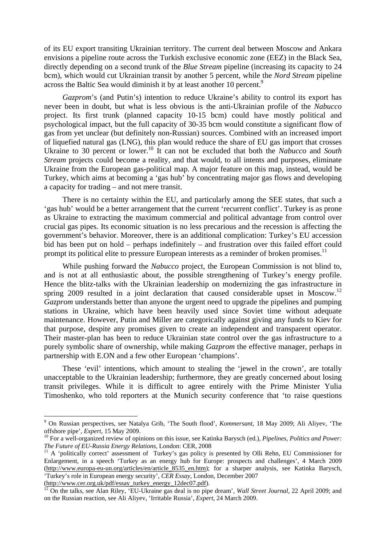of its EU export transiting Ukrainian territory. The current deal between Moscow and Ankara envisions a pipeline route across the Turkish exclusive economic zone (EEZ) in the Black Sea, directly depending on a second trunk of the *Blue Stream* pipeline (increasing its capacity to 24 bcm), which would cut Ukrainian transit by another 5 percent, while the *Nord Stream* pipeline across the Baltic Sea would diminish it by at least another 10 percent.<sup>9</sup>

*Gazprom*'s (and Putin's) intention to reduce Ukraine's ability to control its export has never been in doubt, but what is less obvious is the anti-Ukrainian profile of the *Nabucco* project. Its first trunk (planned capacity 10-15 bcm) could have mostly political and psychological impact, but the full capacity of 30-35 bcm would constitute a significant flow of gas from yet unclear (but definitely non-Russian) sources. Combined with an increased import of liquefied natural gas (LNG), this plan would reduce the share of EU gas import that crosses Ukraine to 30 percent or lower.<sup>10</sup> It can not be excluded that both the *Nabucco* and *South Stream* projects could become a reality, and that would, to all intents and purposes, eliminate Ukraine from the European gas-political map. A major feature on this map, instead, would be Turkey, which aims at becoming a 'gas hub' by concentrating major gas flows and developing a capacity for trading – and not mere transit.

There is no certainty within the EU, and particularly among the SEE states, that such a 'gas hub' would be a better arrangement that the current 'recurrent conflict'. Turkey is as prone as Ukraine to extracting the maximum commercial and political advantage from control over crucial gas pipes. Its economic situation is no less precarious and the recession is affecting the government's behavior. Moreover, there is an additional complication: Turkey's EU accession bid has been put on hold – perhaps indefinitely – and frustration over this failed effort could prompt its political elite to pressure European interests as a reminder of broken promises.<sup>11</sup>

While pushing forward the *Nabucco* project, the European Commission is not blind to, and is not at all enthusiastic about, the possible strengthening of Turkey's energy profile. Hence the blitz-talks with the Ukrainian leadership on modernizing the gas infrastructure in spring 2009 resulted in a joint declaration that caused considerable upset in Moscow.<sup>12</sup> *Gazprom* understands better than anyone the urgent need to upgrade the pipelines and pumping stations in Ukraine, which have been heavily used since Soviet time without adequate maintenance. However, Putin and Miller are categorically against giving any funds to Kiev for that purpose, despite any promises given to create an independent and transparent operator. Their master-plan has been to reduce Ukrainian state control over the gas infrastructure to a purely symbolic share of ownership, while making *Gazprom* the effective manager, perhaps in partnership with E.ON and a few other European 'champions'.

These 'evil' intentions, which amount to stealing the 'jewel in the crown', are totally unacceptable to the Ukrainian leadership; furthermore, they are greatly concerned about losing transit privileges. While it is difficult to agree entirely with the Prime Minister Yulia Timoshenko, who told reporters at the Munich security conference that 'to raise questions

 $\overline{a}$ 

<sup>9</sup> On Russian perspectives, see Natalya Grib, 'The South flood', *Kommersant*, 18 May 2009; Ali Aliyev, 'The offshore pipe', *Expert*, 15 May 2009.<br><sup>10</sup> For a well-organized review of opinions on this issue, see Katinka Barysch (ed.), *Pipelines, Politics and Power:* 

*The Future of EU-Russia Energy Relations*, London: CER, 2008<br><sup>11</sup> A 'politically correct' assessment of Turkey's gas policy is presented by Olli Rehn, EU Commissioner for

Enlargement, in a speech 'Turkey as an energy hub for Europe: prospects and challenges', 4 March 2009 (http://www.europa-eu-un.org/articles/en/article 8535 en.htm); for a sharper analysis, see Katinka Barysch, 'Turkey's role in European energy security', *CER Essay*, London, December 2007

<sup>(</sup>http://www.cer.org.uk/pdf/essay\_turkey\_energy\_12dec07.pdf).<br><sup>12</sup> On the talks, see Alan Riley, 'EU-Ukraine gas deal is no pipe dream', *Wall Street Journal*, 22 April 2009; and on the Russian reaction, see Ali Aliyev, 'Irritable Russia', *Expert*, 24 March 2009.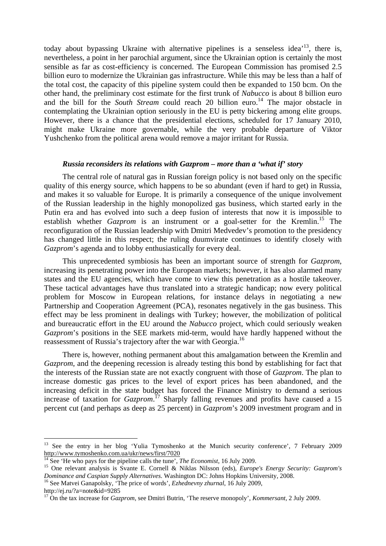today about bypassing Ukraine with alternative pipelines is a senseless idea<sup> $13$ </sup>, there is, nevertheless, a point in her parochial argument, since the Ukrainian option is certainly the most sensible as far as cost-efficiency is concerned. The European Commission has promised 2.5 billion euro to modernize the Ukrainian gas infrastructure. While this may be less than a half of the total cost, the capacity of this pipeline system could then be expanded to 150 bcm. On the other hand, the preliminary cost estimate for the first trunk of *Nabucco* is about 8 billion euro and the bill for the *South Stream* could reach 20 billion euro.<sup>14</sup> The major obstacle in contemplating the Ukrainian option seriously in the EU is petty bickering among elite groups. However, there is a chance that the presidential elections, scheduled for 17 January 2010, might make Ukraine more governable, while the very probable departure of Viktor Yushchenko from the political arena would remove a major irritant for Russia.

#### *Russia reconsiders its relations with Gazprom – more than a 'what if' story*

The central role of natural gas in Russian foreign policy is not based only on the specific quality of this energy source, which happens to be so abundant (even if hard to get) in Russia, and makes it so valuable for Europe. It is primarily a consequence of the unique involvement of the Russian leadership in the highly monopolized gas business, which started early in the Putin era and has evolved into such a deep fusion of interests that now it is impossible to establish whether *Gazprom* is an instrument or a goal-setter for the Kremlin.<sup>15</sup> The reconfiguration of the Russian leadership with Dmitri Medvedev's promotion to the presidency has changed little in this respect; the ruling duumvirate continues to identify closely with *Gazprom*'s agenda and to lobby enthusiastically for every deal.

This unprecedented symbiosis has been an important source of strength for *Gazprom*, increasing its penetrating power into the European markets; however, it has also alarmed many states and the EU agencies, which have come to view this penetration as a hostile takeover. These tactical advantages have thus translated into a strategic handicap; now every political problem for Moscow in European relations, for instance delays in negotiating a new Partnership and Cooperation Agreement (PCA), resonates negatively in the gas business. This effect may be less prominent in dealings with Turkey; however, the mobilization of political and bureaucratic effort in the EU around the *Nabucco* project, which could seriously weaken *Gazprom*'s positions in the SEE markets mid-term, would have hardly happened without the reassessment of Russia's trajectory after the war with Georgia.<sup>16</sup>

There is, however, nothing permanent about this amalgamation between the Kremlin and *Gazprom*, and the deepening recession is already testing this bond by establishing for fact that the interests of the Russian state are not exactly congruent with those of *Gazprom*. The plan to increase domestic gas prices to the level of export prices has been abandoned, and the increasing deficit in the state budget has forced the Finance Ministry to demand a serious increase of taxation for *Gazprom*. 17 Sharply falling revenues and profits have caused a 15 percent cut (and perhaps as deep as 25 percent) in *Gazprom*'s 2009 investment program and in

 $\overline{a}$ 

<sup>&</sup>lt;sup>13</sup> See the entry in her blog 'Yulia Tymoshenko at the Munich security conference', 7 February 2009 http://www.tymoshenko.com.ua/ukr/news/first/7020<br>
<sup>14</sup> See 'He who pays for the pipeline calls the tune', *The Economist*, 16 July 2009.<br>
<sup>15</sup> One relevant analysis is Svante E. Cornell & Niklas Nilsson (eds), *Europe's E* 

*Dominance and Caspian Supply Alternatives*. Washington DC: Johns Hopkins University, 2008.<br><sup>16</sup> See Matvei Ganapolsky, 'The price of words', *Ezhednevny zhurnal*, 16 July 2009,

http://ej.ru/?a=note&id=9285

<sup>&</sup>lt;sup>17</sup> On the tax increase for *Gazprom*, see Dmitri Butrin, 'The reserve monopoly', *Kommersant*, 2 July 2009.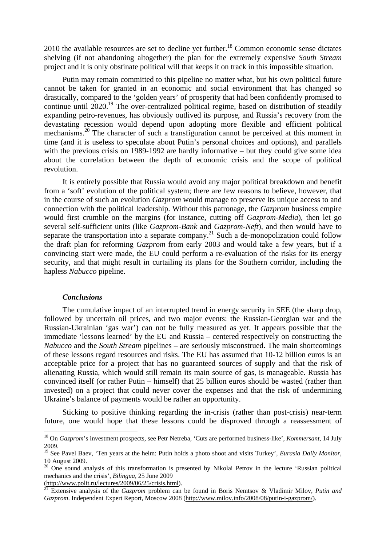$2010$  the available resources are set to decline yet further.<sup>18</sup> Common economic sense dictates shelving (if not abandoning altogether) the plan for the extremely expensive *South Stream* project and it is only obstinate political will that keeps it on track in this impossible situation.

Putin may remain committed to this pipeline no matter what, but his own political future cannot be taken for granted in an economic and social environment that has changed so drastically, compared to the 'golden years' of prosperity that had been confidently promised to continue until 2020.<sup>19</sup> The over-centralized political regime, based on distribution of steadily expanding petro-revenues, has obviously outlived its purpose, and Russia's recovery from the devastating recession would depend upon adopting more flexible and efficient political mechanisms.<sup>20</sup> The character of such a transfiguration cannot be perceived at this moment in time (and it is useless to speculate about Putin's personal choices and options), and parallels with the previous crisis on 1989-1992 are hardly informative – but they could give some idea about the correlation between the depth of economic crisis and the scope of political revolution.

It is entirely possible that Russia would avoid any major political breakdown and benefit from a 'soft' evolution of the political system; there are few reasons to believe, however, that in the course of such an evolution *Gazprom* would manage to preserve its unique access to and connection with the political leadership. Without this patronage, the *Gazprom* business empire would first crumble on the margins (for instance, cutting off *Gazprom-Media*), then let go several self-sufficient units (like *Gazprom-Bank* and *Gazprom-Neft*), and then would have to separate the transportation into a separate company.<sup>21</sup> Such a de-monopolization could follow the draft plan for reforming *Gazprom* from early 2003 and would take a few years, but if a convincing start were made, the EU could perform a re-evaluation of the risks for its energy security, and that might result in curtailing its plans for the Southern corridor, including the hapless *Nabucco* pipeline.

## *Conclusions*

 $\overline{a}$ 

The cumulative impact of an interrupted trend in energy security in SEE (the sharp drop, followed by uncertain oil prices, and two major events: the Russian-Georgian war and the Russian-Ukrainian 'gas war') can not be fully measured as yet. It appears possible that the immediate 'lessons learned' by the EU and Russia – centered respectively on constructing the *Nabucco* and the *South Stream* pipelines – are seriously misconstrued. The main shortcomings of these lessons regard resources and risks. The EU has assumed that 10-12 billion euros is an acceptable price for a project that has no guaranteed sources of supply and that the risk of alienating Russia, which would still remain its main source of gas, is manageable. Russia has convinced itself (or rather Putin – himself) that 25 billion euros should be wasted (rather than invested) on a project that could never cover the expenses and that the risk of undermining Ukraine's balance of payments would be rather an opportunity.

Sticking to positive thinking regarding the in-crisis (rather than post-crisis) near-term future, one would hope that these lessons could be disproved through a reassessment of

<sup>18</sup> On *Gazprom*'s investment prospects, see Petr Netreba, 'Cuts are performed business-like', *Kommersant*, 14 July 2009.

<sup>&</sup>lt;sup>19</sup> See Pavel Baev, 'Ten years at the helm: Putin holds a photo shoot and visits Turkey', *Eurasia Daily Monitor*, 10 August 2009.

<sup>&</sup>lt;sup>20</sup> One sound analysis of this transformation is presented by Nikolai Petrov in the lecture 'Russian political mechanics and the crisis', *Bilingua*, 25 June 2009

<sup>(</sup>http://www.polit.ru/lectures/2009/06/25/crisis.html). 21 Extensive analysis of the *Gazprom* problem can be found in Boris Nemtsov & Vladimir Milov, *Putin and Gazprom*. Independent Expert Report, Moscow 2008 (http://www.milov.info/2008/08/putin-i-gazprom/).